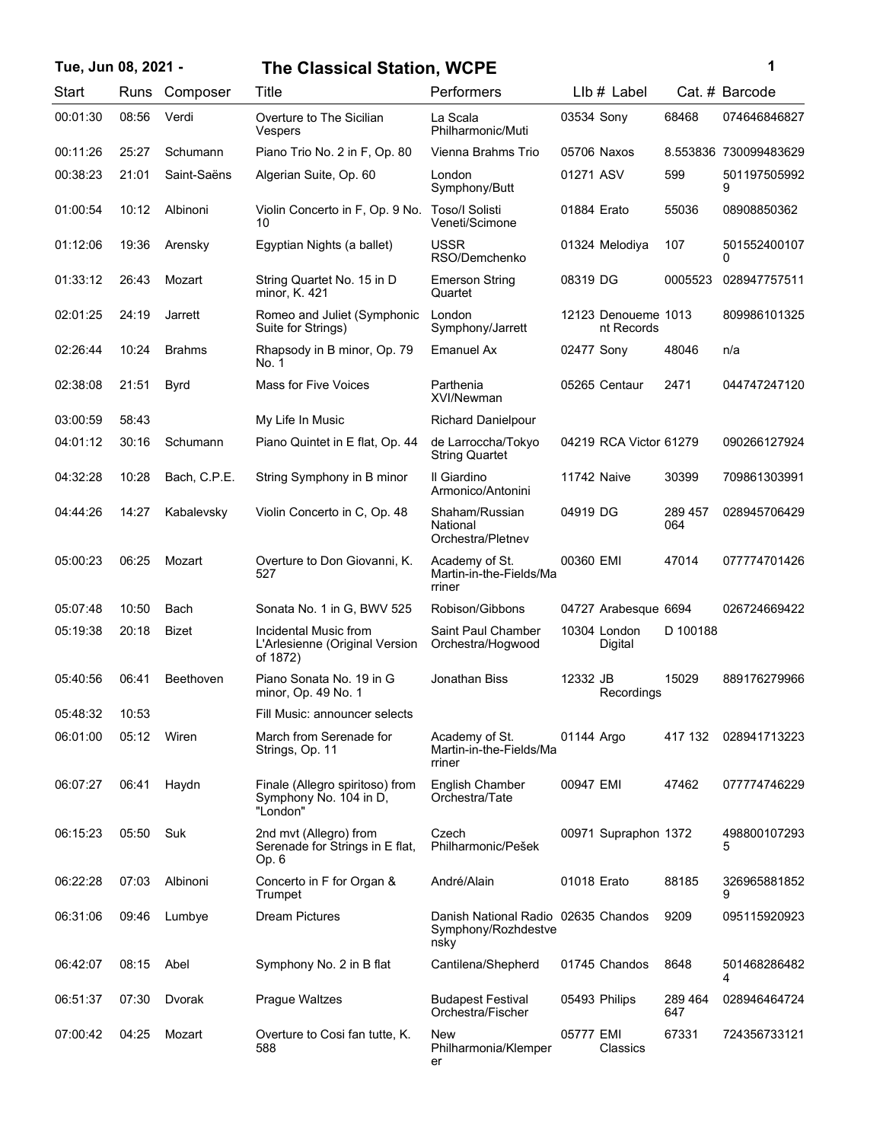# **Tue, Jun 08, 2021 - 1 The Classical Station, WCPE**

| ï<br>I |  |  |
|--------|--|--|
|        |  |  |
|        |  |  |

| Start    | Runs  | Composer         | Title                                                                 | Performers                                                         | $Llb#$ Label                      |                | Cat. # Barcode        |
|----------|-------|------------------|-----------------------------------------------------------------------|--------------------------------------------------------------------|-----------------------------------|----------------|-----------------------|
| 00:01:30 | 08:56 | Verdi            | Overture to The Sicilian<br>Vespers                                   | La Scala<br>Philharmonic/Muti                                      | 03534 Sony                        | 68468          | 074646846827          |
| 00:11:26 | 25:27 | Schumann         | Piano Trio No. 2 in F, Op. 80                                         | Vienna Brahms Trio                                                 | 05706 Naxos                       |                | 8.553836 730099483629 |
| 00:38:23 | 21:01 | Saint-Saëns      | Algerian Suite, Op. 60                                                | London<br>Symphony/Butt                                            | 01271 ASV                         | 599            | 501197505992<br>9     |
| 01:00:54 | 10:12 | Albinoni         | Violin Concerto in F, Op. 9 No.<br>10                                 | Toso/I Solisti<br>Veneti/Scimone                                   | 01884 Erato                       | 55036          | 08908850362           |
| 01:12:06 | 19:36 | Arensky          | Egyptian Nights (a ballet)                                            | <b>USSR</b><br>RSO/Demchenko                                       | 01324 Melodiya                    | 107            | 501552400107<br>0     |
| 01:33:12 | 26:43 | Mozart           | String Quartet No. 15 in D<br>minor, K. 421                           | <b>Emerson String</b><br>Quartet                                   | 08319 DG                          | 0005523        | 028947757511          |
| 02:01:25 | 24:19 | Jarrett          | Romeo and Juliet (Symphonic<br>Suite for Strings)                     | London<br>Symphony/Jarrett                                         | 12123 Denoueme 1013<br>nt Records |                | 809986101325          |
| 02:26:44 | 10:24 | <b>Brahms</b>    | Rhapsody in B minor, Op. 79<br>No. 1                                  | Emanuel Ax                                                         | 02477 Sony                        | 48046          | n/a                   |
| 02:38:08 | 21:51 | <b>Byrd</b>      | Mass for Five Voices                                                  | Parthenia<br>XVI/Newman                                            | 05265 Centaur                     | 2471           | 044747247120          |
| 03:00:59 | 58:43 |                  | My Life In Music                                                      | <b>Richard Danielpour</b>                                          |                                   |                |                       |
| 04:01:12 | 30:16 | Schumann         | Piano Quintet in E flat, Op. 44                                       | de Larroccha/Tokyo<br><b>String Quartet</b>                        | 04219 RCA Victor 61279            |                | 090266127924          |
| 04:32:28 | 10:28 | Bach, C.P.E.     | String Symphony in B minor                                            | Il Giardino<br>Armonico/Antonini                                   | <b>11742 Naive</b>                | 30399          | 709861303991          |
| 04:44:26 | 14:27 | Kabalevsky       | Violin Concerto in C, Op. 48                                          | Shaham/Russian<br>National<br>Orchestra/Pletnev                    | 04919 DG                          | 289 457<br>064 | 028945706429          |
| 05:00:23 | 06:25 | Mozart           | Overture to Don Giovanni, K.<br>527                                   | Academy of St.<br>Martin-in-the-Fields/Ma<br>rriner                | 00360 EMI                         | 47014          | 077774701426          |
| 05:07:48 | 10:50 | Bach             | Sonata No. 1 in G, BWV 525                                            | Robison/Gibbons                                                    | 04727 Arabesque 6694              |                | 026724669422          |
| 05:19:38 | 20:18 | <b>Bizet</b>     | Incidental Music from<br>L'Arlesienne (Original Version<br>of 1872)   | Saint Paul Chamber<br>Orchestra/Hogwood                            | 10304 London<br>Digital           | D 100188       |                       |
| 05:40:56 | 06:41 | <b>Beethoven</b> | Piano Sonata No. 19 in G<br>minor, Op. 49 No. 1                       | Jonathan Biss                                                      | 12332 JB<br>Recordings            | 15029          | 889176279966          |
| 05:48:32 | 10:53 |                  | Fill Music: announcer selects                                         |                                                                    |                                   |                |                       |
| 06:01:00 | 05:12 | Wiren            | March from Serenade for<br>Strings, Op. 11                            | Academy of St.<br>Martin-in-the-Fields/Ma<br>rriner                | 01144 Argo                        | 417 132        | 028941713223          |
| 06:07:27 | 06:41 | Haydn            | Finale (Allegro spiritoso) from<br>Symphony No. 104 in D,<br>"London" | English Chamber<br>Orchestra/Tate                                  | 00947 EMI                         | 47462          | 077774746229          |
| 06:15:23 | 05:50 | Suk              | 2nd mvt (Allegro) from<br>Serenade for Strings in E flat,<br>Op.6     | Czech<br>Philharmonic/Pešek                                        | 00971 Supraphon 1372              |                | 498800107293<br>5     |
| 06:22:28 | 07:03 | Albinoni         | Concerto in F for Organ &<br>Trumpet                                  | André/Alain                                                        | 01018 Erato                       | 88185          | 326965881852<br>9     |
| 06:31:06 | 09:46 | Lumbye           | <b>Dream Pictures</b>                                                 | Danish National Radio 02635 Chandos<br>Symphony/Rozhdestve<br>nsky |                                   | 9209           | 095115920923          |
| 06:42:07 | 08:15 | Abel             | Symphony No. 2 in B flat                                              | Cantilena/Shepherd                                                 | 01745 Chandos                     | 8648           | 501468286482<br>4     |
| 06:51:37 | 07:30 | Dvorak           | Prague Waltzes                                                        | <b>Budapest Festival</b><br>Orchestra/Fischer                      | 05493 Philips                     | 289 464<br>647 | 028946464724          |
| 07:00:42 | 04:25 | Mozart           | Overture to Cosi fan tutte, K.<br>588                                 | <b>New</b><br>Philharmonia/Klemper<br>er                           | 05777 EMI<br>Classics             | 67331          | 724356733121          |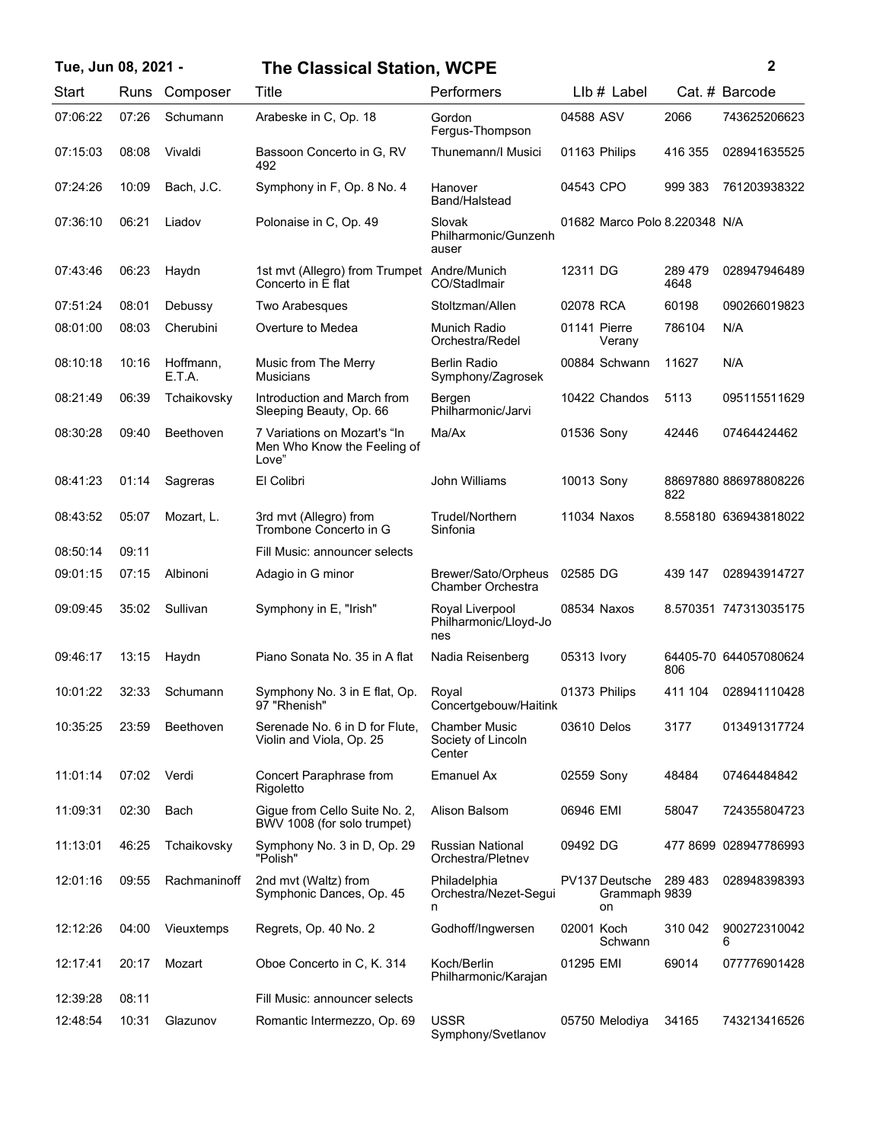# **Tue, Jun 08, 2021 - 2 The Classical Station, WCPE**

|  | i      |  |
|--|--------|--|
|  | ł<br>٠ |  |
|  |        |  |

| Start    | <b>Runs</b> | Composer            | <b>Title</b>                                                         | Performers                                           |             | LIb # Label                           |                 | Cat. # Barcode        |
|----------|-------------|---------------------|----------------------------------------------------------------------|------------------------------------------------------|-------------|---------------------------------------|-----------------|-----------------------|
| 07:06:22 | 07:26       | Schumann            | Arabeske in C, Op. 18                                                | Gordon<br>Fergus-Thompson                            | 04588 ASV   |                                       | 2066            | 743625206623          |
| 07:15:03 | 08:08       | Vivaldi             | Bassoon Concerto in G, RV<br>492                                     | Thunemann/I Musici                                   |             | 01163 Philips                         | 416 355         | 028941635525          |
| 07:24:26 | 10:09       | Bach, J.C.          | Symphony in F, Op. 8 No. 4                                           | Hanover<br>Band/Halstead                             | 04543 CPO   |                                       | 999 383         | 761203938322          |
| 07:36:10 | 06:21       | Liadov              | Polonaise in C, Op. 49                                               | Slovak<br>Philharmonic/Gunzenh<br>auser              |             | 01682 Marco Polo 8.220348 N/A         |                 |                       |
| 07:43:46 | 06:23       | Haydn               | 1st mvt (Allegro) from Trumpet Andre/Munich<br>Concerto in E flat    | CO/StadImair                                         | 12311 DG    |                                       | 289 479<br>4648 | 028947946489          |
| 07:51:24 | 08:01       | Debussy             | Two Arabesques                                                       | Stoltzman/Allen                                      | 02078 RCA   |                                       | 60198           | 090266019823          |
| 08:01:00 | 08:03       | Cherubini           | Overture to Medea                                                    | Munich Radio<br>Orchestra/Redel                      |             | 01141 Pierre<br>Verany                | 786104          | N/A                   |
| 08:10:18 | 10:16       | Hoffmann,<br>E.T.A. | Music from The Merry<br><b>Musicians</b>                             | <b>Berlin Radio</b><br>Symphony/Zagrosek             |             | 00884 Schwann                         | 11627           | N/A                   |
| 08:21:49 | 06:39       | Tchaikovsky         | Introduction and March from<br>Sleeping Beauty, Op. 66               | Bergen<br>Philharmonic/Jarvi                         |             | 10422 Chandos                         | 5113            | 095115511629          |
| 08:30:28 | 09:40       | Beethoven           | 7 Variations on Mozart's "In<br>Men Who Know the Feeling of<br>Love" | Ma/Ax                                                | 01536 Sony  |                                       | 42446           | 07464424462           |
| 08:41:23 | 01:14       | Sagreras            | El Colibri                                                           | John Williams                                        | 10013 Sony  |                                       | 822             | 88697880 886978808226 |
| 08:43:52 | 05:07       | Mozart, L.          | 3rd mvt (Allegro) from<br>Trombone Concerto in G                     | Trudel/Northern<br>Sinfonia                          |             | 11034 Naxos                           |                 | 8.558180 636943818022 |
| 08:50:14 | 09:11       |                     | Fill Music: announcer selects                                        |                                                      |             |                                       |                 |                       |
| 09:01:15 | 07:15       | Albinoni            | Adagio in G minor                                                    | Brewer/Sato/Orpheus<br>Chamber Orchestra             | 02585 DG    |                                       | 439 147         | 028943914727          |
| 09:09:45 | 35:02       | Sullivan            | Symphony in E, "Irish"                                               | Royal Liverpool<br>Philharmonic/Lloyd-Jo<br>nes      |             | 08534 Naxos                           |                 | 8.570351 747313035175 |
| 09:46:17 | 13:15       | Haydn               | Piano Sonata No. 35 in A flat                                        | Nadia Reisenberg                                     | 05313 Ivory |                                       | 806             | 64405-70 644057080624 |
| 10:01:22 | 32:33       | Schumann            | Symphony No. 3 in E flat, Op.<br>97 "Rhenish"                        | Roval<br>Concertgebouw/Haitink                       |             | 01373 Philips                         | 411 104         | 028941110428          |
| 10:35:25 | 23:59       | Beethoven           | Serenade No. 6 in D for Flute,<br>Violin and Viola, Op. 25           | <b>Chamber Music</b><br>Society of Lincoln<br>Center |             | 03610 Delos                           | 3177            | 013491317724          |
| 11:01:14 | 07:02       | Verdi               | Concert Paraphrase from<br>Rigoletto                                 | <b>Emanuel Ax</b>                                    | 02559 Sony  |                                       | 48484           | 07464484842           |
| 11:09:31 | 02:30       | Bach                | Gigue from Cello Suite No. 2,<br>BWV 1008 (for solo trumpet)         | Alison Balsom                                        | 06946 EMI   |                                       | 58047           | 724355804723          |
| 11:13:01 | 46:25       | Tchaikovsky         | Symphony No. 3 in D, Op. 29<br>"Polish"                              | <b>Russian National</b><br>Orchestra/Pletnev         | 09492 DG    |                                       |                 | 477 8699 028947786993 |
| 12:01:16 | 09:55       | Rachmaninoff        | 2nd mvt (Waltz) from<br>Symphonic Dances, Op. 45                     | Philadelphia<br>Orchestra/Nezet-Segui<br>n           |             | PV137 Deutsche<br>Grammaph 9839<br>on | 289 483         | 028948398393          |
| 12:12:26 | 04:00       | Vieuxtemps          | Regrets, Op. 40 No. 2                                                | Godhoff/Ingwersen                                    | 02001 Koch  | Schwann                               | 310 042         | 900272310042<br>6     |
| 12:17:41 | 20:17       | Mozart              | Oboe Concerto in C, K. 314                                           | Koch/Berlin<br>Philharmonic/Karajan                  | 01295 EMI   |                                       | 69014           | 077776901428          |
| 12:39:28 | 08:11       |                     | Fill Music: announcer selects                                        |                                                      |             |                                       |                 |                       |
| 12:48:54 | 10:31       | Glazunov            | Romantic Intermezzo, Op. 69                                          | <b>USSR</b><br>Symphony/Svetlanov                    |             | 05750 Melodiya                        | 34165           | 743213416526          |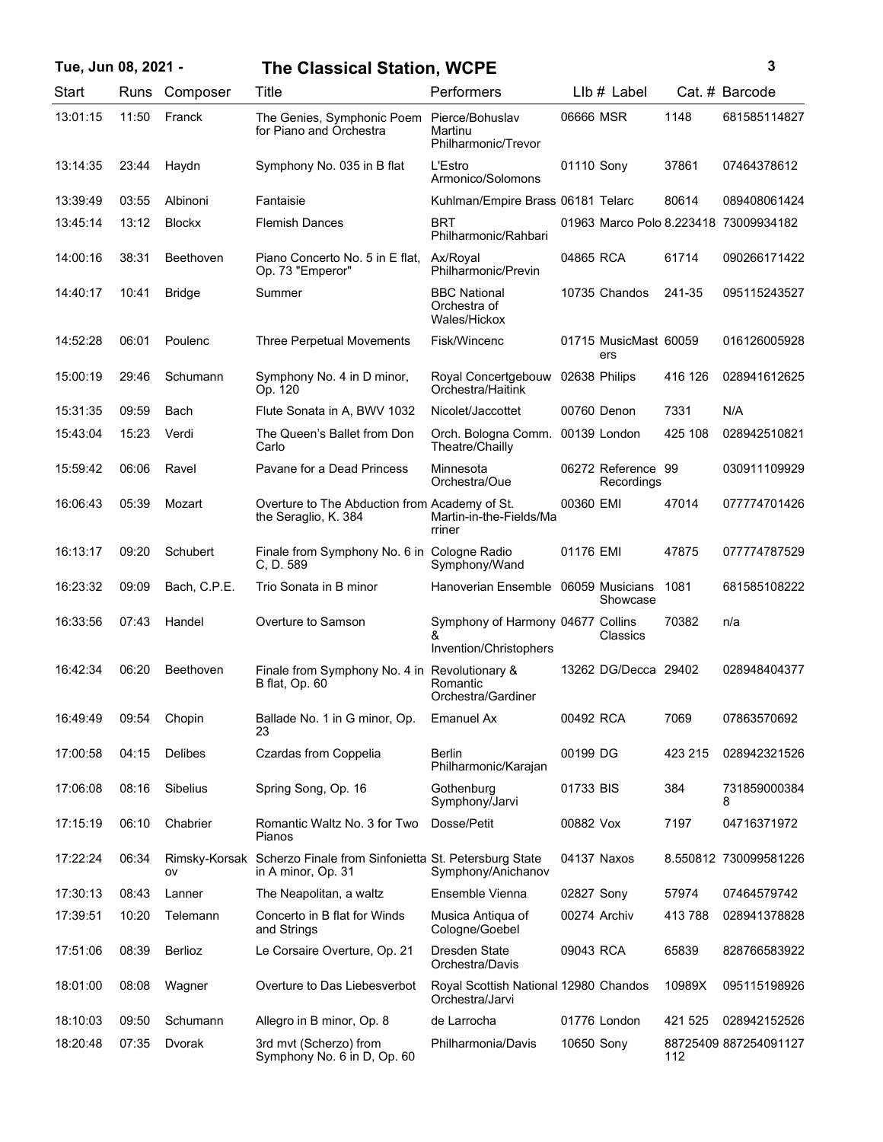| Tue, Jun 08, 2021 - |       |                | <b>The Classical Station, WCPE</b>                                                       |                                                                  |            |                                  |         | 3                                     |
|---------------------|-------|----------------|------------------------------------------------------------------------------------------|------------------------------------------------------------------|------------|----------------------------------|---------|---------------------------------------|
| Start               | Runs  | Composer       | Title                                                                                    | Performers                                                       |            | LIb # Label                      |         | Cat. # Barcode                        |
| 13:01:15            | 11:50 | Franck         | The Genies, Symphonic Poem<br>for Piano and Orchestra                                    | Pierce/Bohuslav<br>Martinu<br>Philharmonic/Trevor                | 06666 MSR  |                                  | 1148    | 681585114827                          |
| 13:14:35            | 23:44 | Haydn          | Symphony No. 035 in B flat                                                               | L'Estro<br>Armonico/Solomons                                     | 01110 Sony |                                  | 37861   | 07464378612                           |
| 13:39:49            | 03:55 | Albinoni       | Fantaisie                                                                                | Kuhlman/Empire Brass 06181 Telarc                                |            |                                  | 80614   | 089408061424                          |
| 13:45:14            | 13:12 | <b>Blockx</b>  | <b>Flemish Dances</b>                                                                    | <b>BRT</b><br>Philharmonic/Rahbari                               |            |                                  |         | 01963 Marco Polo 8.223418 73009934182 |
| 14:00:16            | 38:31 | Beethoven      | Piano Concerto No. 5 in E flat,<br>Op. 73 "Emperor"                                      | Ax/Royal<br>Philharmonic/Previn                                  | 04865 RCA  |                                  | 61714   | 090266171422                          |
| 14:40:17            | 10:41 | <b>Bridge</b>  | Summer                                                                                   | <b>BBC National</b><br>Orchestra of<br>Wales/Hickox              |            | 10735 Chandos                    | 241-35  | 095115243527                          |
| 14:52:28            | 06:01 | Poulenc        | <b>Three Perpetual Movements</b>                                                         | Fisk/Wincenc                                                     |            | 01715 MusicMast 60059<br>ers     |         | 016126005928                          |
| 15:00:19            | 29:46 | Schumann       | Symphony No. 4 in D minor,<br>Op. 120                                                    | Royal Concertgebouw<br>Orchestra/Haitink                         |            | 02638 Philips                    | 416 126 | 028941612625                          |
| 15:31:35            | 09:59 | Bach           | Flute Sonata in A, BWV 1032                                                              | Nicolet/Jaccottet                                                |            | 00760 Denon                      | 7331    | N/A                                   |
| 15:43:04            | 15:23 | Verdi          | The Queen's Ballet from Don<br>Carlo                                                     | Orch. Bologna Comm.<br>Theatre/Chailly                           |            | 00139 London                     | 425 108 | 028942510821                          |
| 15:59:42            | 06:06 | Ravel          | Pavane for a Dead Princess                                                               | Minnesota<br>Orchestra/Oue                                       |            | 06272 Reference 99<br>Recordings |         | 030911109929                          |
| 16:06:43            | 05:39 | Mozart         | Overture to The Abduction from Academy of St.<br>the Seraglio, K. 384                    | Martin-in-the-Fields/Ma<br>rriner                                | 00360 EMI  |                                  | 47014   | 077774701426                          |
| 16:13:17            | 09:20 | Schubert       | Finale from Symphony No. 6 in Cologne Radio<br>C, D, 589                                 | Symphony/Wand                                                    | 01176 EMI  |                                  | 47875   | 077774787529                          |
| 16:23:32            | 09:09 | Bach, C.P.E.   | Trio Sonata in B minor                                                                   | Hanoverian Ensemble                                              |            | 06059 Musicians<br>Showcase      | 1081    | 681585108222                          |
| 16:33:56            | 07:43 | Handel         | Overture to Samson                                                                       | Symphony of Harmony 04677 Collins<br>&<br>Invention/Christophers |            | Classics                         | 70382   | n/a                                   |
| 16:42:34            | 06:20 | Beethoven      | Finale from Symphony No. 4 in Revolutionary &<br>B flat, Op. 60                          | Romantic<br>Orchestra/Gardiner                                   |            | 13262 DG/Decca 29402             |         | 028948404377                          |
| 16:49:49            | 09:54 | Chopin         | Ballade No. 1 in G minor, Op.<br>23                                                      | <b>Emanuel Ax</b>                                                | 00492 RCA  |                                  | 7069    | 07863570692                           |
| 17:00:58            | 04:15 | <b>Delibes</b> | Czardas from Coppelia                                                                    | <b>Berlin</b><br>Philharmonic/Karajan                            | 00199 DG   |                                  | 423 215 | 028942321526                          |
| 17:06:08            | 08:16 | Sibelius       | Spring Song, Op. 16                                                                      | Gothenburg<br>Symphony/Jarvi                                     | 01733 BIS  |                                  | 384     | 731859000384<br>8                     |
| 17:15:19            | 06:10 | Chabrier       | Romantic Waltz No. 3 for Two<br>Pianos                                                   | Dosse/Petit                                                      | 00882 Vox  |                                  | 7197    | 04716371972                           |
| 17:22:24            | 06:34 | OV             | Rimsky-Korsak Scherzo Finale from Sinfonietta St. Petersburg State<br>in A minor, Op. 31 | Symphony/Anichanov                                               |            | 04137 Naxos                      |         | 8.550812 730099581226                 |
| 17:30:13            | 08:43 | Lanner         | The Neapolitan, a waltz                                                                  | Ensemble Vienna                                                  | 02827 Sony |                                  | 57974   | 07464579742                           |
| 17:39:51            | 10:20 | Telemann       | Concerto in B flat for Winds<br>and Strings                                              | Musica Antiqua of<br>Cologne/Goebel                              |            | 00274 Archiv                     | 413788  | 028941378828                          |
| 17:51:06            | 08:39 | Berlioz        | Le Corsaire Overture, Op. 21                                                             | Dresden State<br>Orchestra/Davis                                 | 09043 RCA  |                                  | 65839   | 828766583922                          |
| 18:01:00            | 08:08 | Wagner         | Overture to Das Liebesverbot                                                             | Royal Scottish National 12980 Chandos<br>Orchestra/Jarvi         |            |                                  | 10989X  | 095115198926                          |
| 18:10:03            | 09:50 | Schumann       | Allegro in B minor, Op. 8                                                                | de Larrocha                                                      |            | 01776 London                     | 421 525 | 028942152526                          |
| 18:20:48            | 07:35 | Dvorak         | 3rd mvt (Scherzo) from<br>Symphony No. 6 in D, Op. 60                                    | Philharmonia/Davis                                               | 10650 Sony |                                  | 112     | 88725409 887254091127                 |